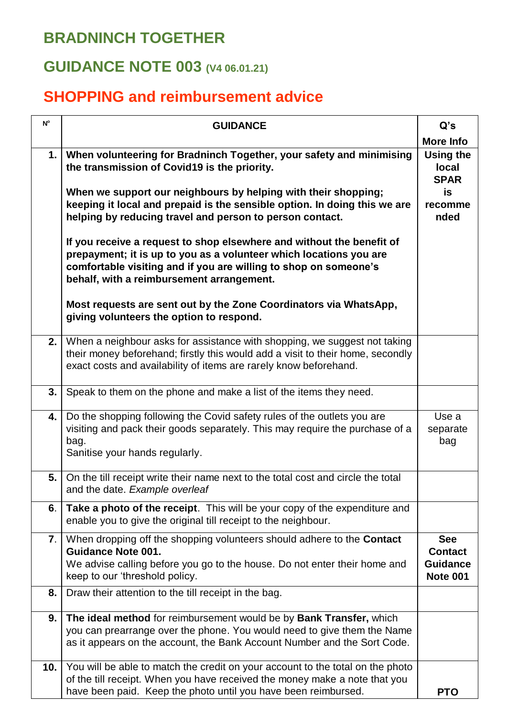## **BRADNINCH TOGETHER**

## **GUIDANCE NOTE 003 (V4 06.01.21)**

## **SHOPPING and reimbursement advice**

| $N^{\circ}$ | <b>GUIDANCE</b>                                                                                                                                                                                                                                              | Q's                                                                |
|-------------|--------------------------------------------------------------------------------------------------------------------------------------------------------------------------------------------------------------------------------------------------------------|--------------------------------------------------------------------|
|             |                                                                                                                                                                                                                                                              | <b>More Info</b>                                                   |
| 1.          | When volunteering for Bradninch Together, your safety and minimising<br>the transmission of Covid19 is the priority.                                                                                                                                         | <b>Using the</b><br>local<br><b>SPAR</b>                           |
|             | When we support our neighbours by helping with their shopping;<br>keeping it local and prepaid is the sensible option. In doing this we are<br>helping by reducing travel and person to person contact.                                                      | is<br>recomme<br>nded                                              |
|             | If you receive a request to shop elsewhere and without the benefit of<br>prepayment; it is up to you as a volunteer which locations you are<br>comfortable visiting and if you are willing to shop on someone's<br>behalf, with a reimbursement arrangement. |                                                                    |
|             | Most requests are sent out by the Zone Coordinators via WhatsApp,<br>giving volunteers the option to respond.                                                                                                                                                |                                                                    |
| 2.          | When a neighbour asks for assistance with shopping, we suggest not taking<br>their money beforehand; firstly this would add a visit to their home, secondly<br>exact costs and availability of items are rarely know beforehand.                             |                                                                    |
| 3.          | Speak to them on the phone and make a list of the items they need.                                                                                                                                                                                           |                                                                    |
| 4.          | Do the shopping following the Covid safety rules of the outlets you are<br>visiting and pack their goods separately. This may require the purchase of a<br>bag.<br>Sanitise your hands regularly.                                                            | Use a<br>separate<br>bag                                           |
| 5.          | On the till receipt write their name next to the total cost and circle the total<br>and the date. Example overleaf                                                                                                                                           |                                                                    |
| 6.          | Take a photo of the receipt. This will be your copy of the expenditure and<br>enable you to give the original till receipt to the neighbour.                                                                                                                 |                                                                    |
| 7.          | When dropping off the shopping volunteers should adhere to the Contact<br><b>Guidance Note 001.</b><br>We advise calling before you go to the house. Do not enter their home and<br>keep to our 'threshold policy.                                           | <b>See</b><br><b>Contact</b><br><b>Guidance</b><br><b>Note 001</b> |
| 8.          | Draw their attention to the till receipt in the bag.                                                                                                                                                                                                         |                                                                    |
| 9.          | The ideal method for reimbursement would be by Bank Transfer, which<br>you can prearrange over the phone. You would need to give them the Name<br>as it appears on the account, the Bank Account Number and the Sort Code.                                   |                                                                    |
| 10.         | You will be able to match the credit on your account to the total on the photo<br>of the till receipt. When you have received the money make a note that you<br>have been paid. Keep the photo until you have been reimbursed.                               | <b>PTO</b>                                                         |